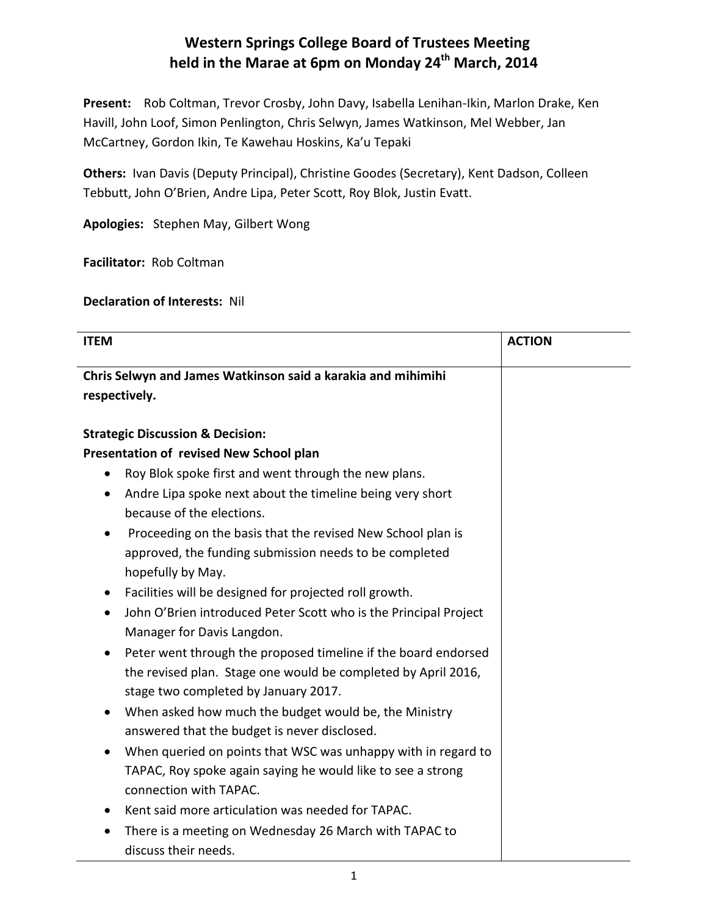## **Western Springs College Board of Trustees Meeting held in the Marae at 6pm on Monday 24th March, 2014**

**Present:** Rob Coltman, Trevor Crosby, John Davy, Isabella Lenihan-Ikin, Marlon Drake, Ken Havill, John Loof, Simon Penlington, Chris Selwyn, James Watkinson, Mel Webber, Jan McCartney, Gordon Ikin, Te Kawehau Hoskins, Ka'u Tepaki

**Others:** Ivan Davis (Deputy Principal), Christine Goodes (Secretary), Kent Dadson, Colleen Tebbutt, John O'Brien, Andre Lipa, Peter Scott, Roy Blok, Justin Evatt.

**Apologies:** Stephen May, Gilbert Wong

**Facilitator:** Rob Coltman

**Declaration of Interests:** Nil

| <b>ITEM</b>                                                                                           | <b>ACTION</b> |
|-------------------------------------------------------------------------------------------------------|---------------|
| Chris Selwyn and James Watkinson said a karakia and mihimihi<br>respectively.                         |               |
| <b>Strategic Discussion &amp; Decision:</b>                                                           |               |
| Presentation of revised New School plan                                                               |               |
| Roy Blok spoke first and went through the new plans.<br>$\bullet$                                     |               |
| Andre Lipa spoke next about the timeline being very short<br>$\bullet$                                |               |
| because of the elections.                                                                             |               |
| Proceeding on the basis that the revised New School plan is                                           |               |
| approved, the funding submission needs to be completed                                                |               |
| hopefully by May.                                                                                     |               |
| Facilities will be designed for projected roll growth.<br>$\bullet$                                   |               |
| John O'Brien introduced Peter Scott who is the Principal Project                                      |               |
| Manager for Davis Langdon.                                                                            |               |
| Peter went through the proposed timeline if the board endorsed                                        |               |
| the revised plan. Stage one would be completed by April 2016,<br>stage two completed by January 2017. |               |
| When asked how much the budget would be, the Ministry                                                 |               |
| answered that the budget is never disclosed.                                                          |               |
| When queried on points that WSC was unhappy with in regard to                                         |               |
| TAPAC, Roy spoke again saying he would like to see a strong                                           |               |
| connection with TAPAC.                                                                                |               |
| Kent said more articulation was needed for TAPAC.                                                     |               |
| There is a meeting on Wednesday 26 March with TAPAC to                                                |               |
| discuss their needs.                                                                                  |               |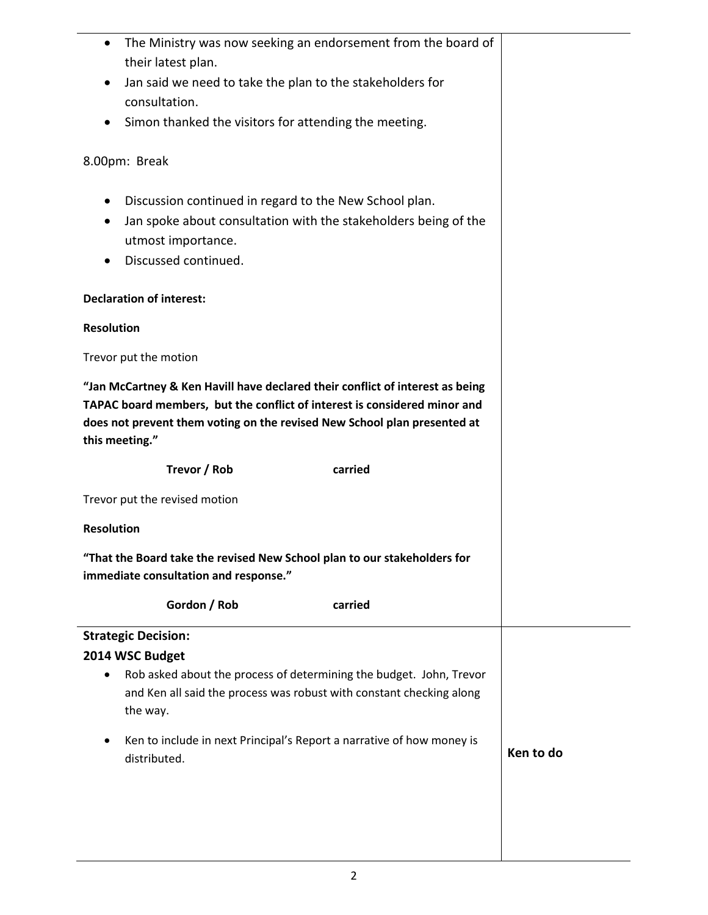| The Ministry was now seeking an endorsement from the board of<br>their latest plan.                                                                                                                                                                      |           |
|----------------------------------------------------------------------------------------------------------------------------------------------------------------------------------------------------------------------------------------------------------|-----------|
| Jan said we need to take the plan to the stakeholders for<br>٠                                                                                                                                                                                           |           |
| consultation.                                                                                                                                                                                                                                            |           |
| Simon thanked the visitors for attending the meeting.                                                                                                                                                                                                    |           |
| 8.00pm: Break                                                                                                                                                                                                                                            |           |
| Discussion continued in regard to the New School plan.<br>$\bullet$                                                                                                                                                                                      |           |
| Jan spoke about consultation with the stakeholders being of the<br>٠                                                                                                                                                                                     |           |
| utmost importance.                                                                                                                                                                                                                                       |           |
| Discussed continued.                                                                                                                                                                                                                                     |           |
| <b>Declaration of interest:</b>                                                                                                                                                                                                                          |           |
| <b>Resolution</b>                                                                                                                                                                                                                                        |           |
| Trevor put the motion                                                                                                                                                                                                                                    |           |
| "Jan McCartney & Ken Havill have declared their conflict of interest as being<br>TAPAC board members, but the conflict of interest is considered minor and<br>does not prevent them voting on the revised New School plan presented at<br>this meeting." |           |
| Trevor / Rob<br>carried                                                                                                                                                                                                                                  |           |
| Trevor put the revised motion                                                                                                                                                                                                                            |           |
| <b>Resolution</b>                                                                                                                                                                                                                                        |           |
| "That the Board take the revised New School plan to our stakeholders for                                                                                                                                                                                 |           |
| immediate consultation and response."                                                                                                                                                                                                                    |           |
| Gordon / Rob<br>carried                                                                                                                                                                                                                                  |           |
| <b>Strategic Decision:</b>                                                                                                                                                                                                                               |           |
| 2014 WSC Budget                                                                                                                                                                                                                                          |           |
| Rob asked about the process of determining the budget. John, Trevor<br>and Ken all said the process was robust with constant checking along<br>the way.                                                                                                  |           |
| Ken to include in next Principal's Report a narrative of how money is<br>٠                                                                                                                                                                               |           |
| distributed.                                                                                                                                                                                                                                             | Ken to do |
|                                                                                                                                                                                                                                                          |           |
|                                                                                                                                                                                                                                                          |           |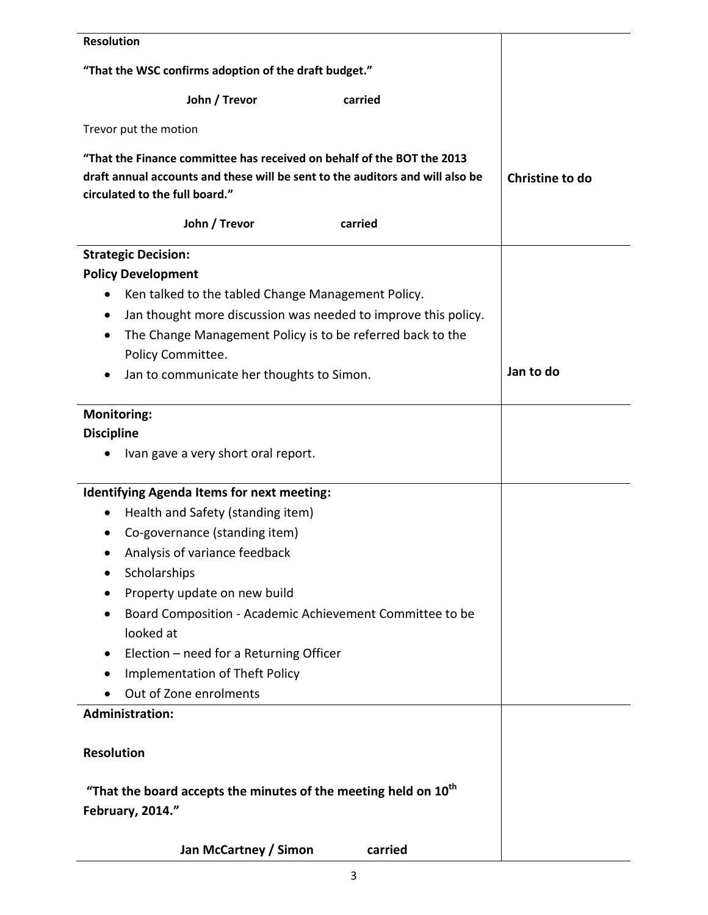| <b>Resolution</b>                                                                                                                                                                         |                 |
|-------------------------------------------------------------------------------------------------------------------------------------------------------------------------------------------|-----------------|
| "That the WSC confirms adoption of the draft budget."                                                                                                                                     |                 |
| John / Trevor<br>carried                                                                                                                                                                  |                 |
| Trevor put the motion                                                                                                                                                                     |                 |
| "That the Finance committee has received on behalf of the BOT the 2013<br>draft annual accounts and these will be sent to the auditors and will also be<br>circulated to the full board." | Christine to do |
| John / Trevor<br>carried                                                                                                                                                                  |                 |
| <b>Strategic Decision:</b>                                                                                                                                                                |                 |
| <b>Policy Development</b>                                                                                                                                                                 |                 |
| Ken talked to the tabled Change Management Policy.<br>$\bullet$                                                                                                                           |                 |
| Jan thought more discussion was needed to improve this policy.                                                                                                                            |                 |
| The Change Management Policy is to be referred back to the<br>٠                                                                                                                           |                 |
| Policy Committee.                                                                                                                                                                         |                 |
| Jan to communicate her thoughts to Simon.<br>٠                                                                                                                                            | Jan to do       |
| <b>Monitoring:</b>                                                                                                                                                                        |                 |
| <b>Discipline</b>                                                                                                                                                                         |                 |
| Ivan gave a very short oral report.                                                                                                                                                       |                 |
| <b>Identifying Agenda Items for next meeting:</b>                                                                                                                                         |                 |
| Health and Safety (standing item)<br>٠                                                                                                                                                    |                 |
| Co-governance (standing item)                                                                                                                                                             |                 |
| Analysis of variance feedback                                                                                                                                                             |                 |
| Scholarships                                                                                                                                                                              |                 |
| Property update on new build                                                                                                                                                              |                 |
| Board Composition - Academic Achievement Committee to be                                                                                                                                  |                 |
| looked at                                                                                                                                                                                 |                 |
| Election - need for a Returning Officer<br>$\bullet$                                                                                                                                      |                 |
| Implementation of Theft Policy<br>٠                                                                                                                                                       |                 |
| Out of Zone enrolments                                                                                                                                                                    |                 |
| <b>Administration:</b>                                                                                                                                                                    |                 |
| <b>Resolution</b>                                                                                                                                                                         |                 |
| "That the board accepts the minutes of the meeting held on $10^{th}$<br>February, 2014."                                                                                                  |                 |
| Jan McCartney / Simon<br>carried                                                                                                                                                          |                 |